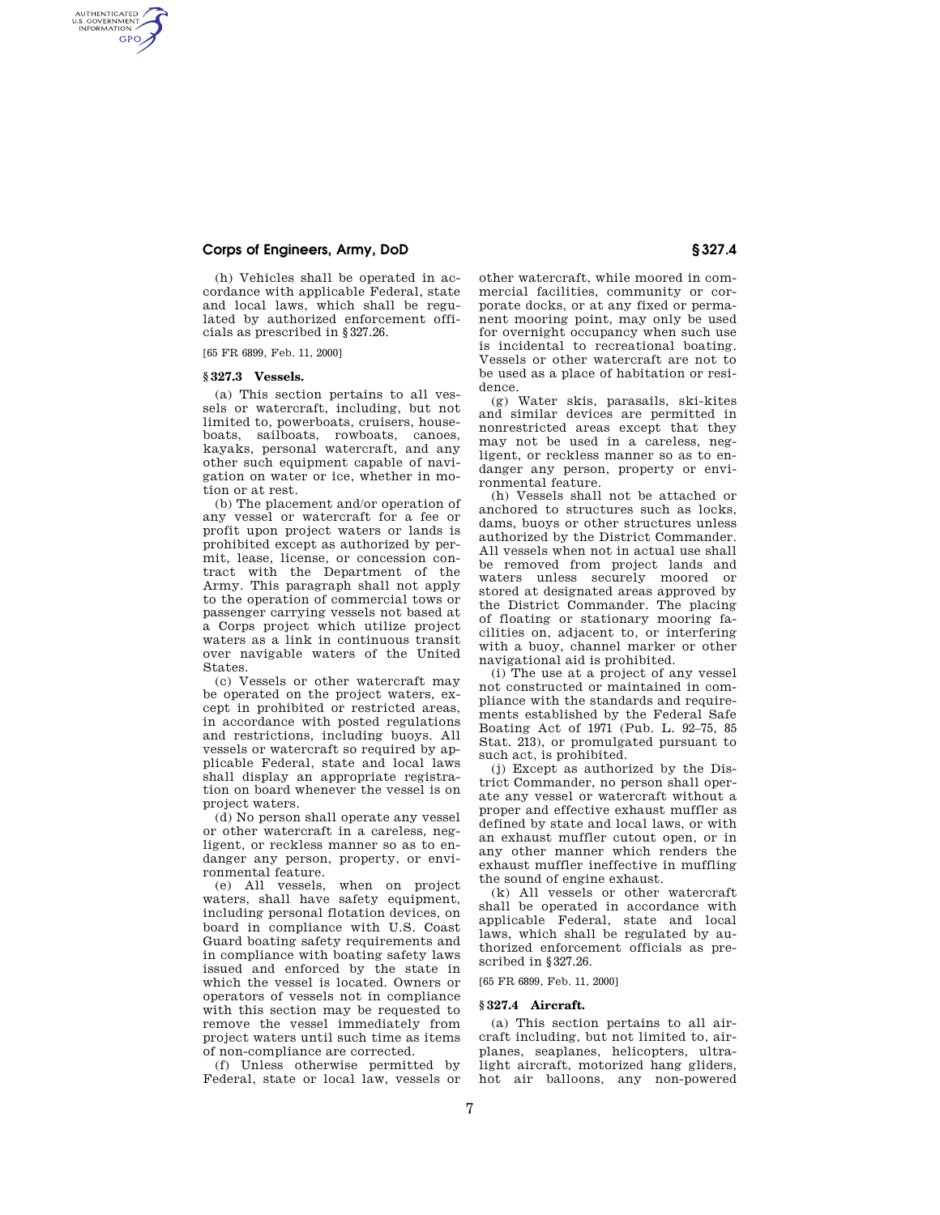# **Corps of Engineers, Army, DoD § 327.4**

(h) Vehicles shall be operated in accordance with applicable Federal, state and local laws, which shall be regulated by authorized enforcement officials as prescribed in §327.26.

[65 FR 6899, Feb. 11, 2000]

## **§ 327.3 Vessels.**

AUTHENTICATED<br>U.S. GOVERNMENT<br>INFORMATION **GPO** 

> (a) This section pertains to all vessels or watercraft, including, but not limited to, powerboats, cruisers, houseboats, sailboats, rowboats, canoes, kayaks, personal watercraft, and any other such equipment capable of navigation on water or ice, whether in motion or at rest.

> (b) The placement and/or operation of any vessel or watercraft for a fee or profit upon project waters or lands is prohibited except as authorized by permit, lease, license, or concession contract with the Department of the Army. This paragraph shall not apply to the operation of commercial tows or passenger carrying vessels not based at a Corps project which utilize project waters as a link in continuous transit over navigable waters of the United States.

> (c) Vessels or other watercraft may be operated on the project waters, except in prohibited or restricted areas, in accordance with posted regulations and restrictions, including buoys. All vessels or watercraft so required by applicable Federal, state and local laws shall display an appropriate registration on board whenever the vessel is on project waters.

> (d) No person shall operate any vessel or other watercraft in a careless, negligent, or reckless manner so as to endanger any person, property, or environmental feature.

> (e) All vessels, when on project waters, shall have safety equipment, including personal flotation devices, on board in compliance with U.S. Coast Guard boating safety requirements and in compliance with boating safety laws issued and enforced by the state in which the vessel is located. Owners or operators of vessels not in compliance with this section may be requested to remove the vessel immediately from project waters until such time as items of non-compliance are corrected.

(f) Unless otherwise permitted by Federal, state or local law, vessels or

other watercraft, while moored in commercial facilities, community or corporate docks, or at any fixed or permanent mooring point, may only be used for overnight occupancy when such use is incidental to recreational boating. Vessels or other watercraft are not to be used as a place of habitation or residence.

(g) Water skis, parasails, ski-kites and similar devices are permitted in nonrestricted areas except that they may not be used in a careless, negligent, or reckless manner so as to endanger any person, property or environmental feature.

(h) Vessels shall not be attached or anchored to structures such as locks, dams, buoys or other structures unless authorized by the District Commander. All vessels when not in actual use shall be removed from project lands and waters unless securely moored or stored at designated areas approved by the District Commander. The placing of floating or stationary mooring facilities on, adjacent to, or interfering with a buoy, channel marker or other navigational aid is prohibited.

(i) The use at a project of any vessel not constructed or maintained in compliance with the standards and requirements established by the Federal Safe Boating Act of 1971 (Pub. L. 92–75, 85 Stat. 213), or promulgated pursuant to such act, is prohibited.

(j) Except as authorized by the District Commander, no person shall operate any vessel or watercraft without a proper and effective exhaust muffler as defined by state and local laws, or with an exhaust muffler cutout open, or in any other manner which renders the exhaust muffler ineffective in muffling the sound of engine exhaust.

(k) All vessels or other watercraft shall be operated in accordance with applicable Federal, state and local laws, which shall be regulated by authorized enforcement officials as prescribed in §327.26.

[65 FR 6899, Feb. 11, 2000]

#### **§ 327.4 Aircraft.**

(a) This section pertains to all aircraft including, but not limited to, airplanes, seaplanes, helicopters, ultralight aircraft, motorized hang gliders, hot air balloons, any non-powered